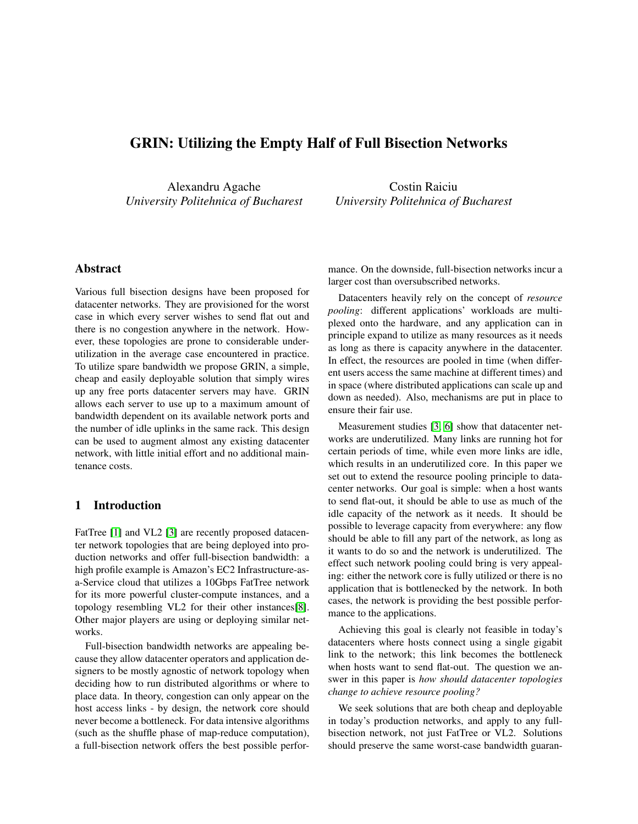# GRIN: Utilizing the Empty Half of Full Bisection Networks

Alexandru Agache *University Politehnica of Bucharest*

Costin Raiciu *University Politehnica of Bucharest*

# Abstract

Various full bisection designs have been proposed for datacenter networks. They are provisioned for the worst case in which every server wishes to send flat out and there is no congestion anywhere in the network. However, these topologies are prone to considerable underutilization in the average case encountered in practice. To utilize spare bandwidth we propose GRIN, a simple, cheap and easily deployable solution that simply wires up any free ports datacenter servers may have. GRIN allows each server to use up to a maximum amount of bandwidth dependent on its available network ports and the number of idle uplinks in the same rack. This design can be used to augment almost any existing datacenter network, with little initial effort and no additional maintenance costs.

# 1 Introduction

FatTree [\[1\]](#page-5-0) and VL2 [\[3\]](#page-5-1) are recently proposed datacenter network topologies that are being deployed into production networks and offer full-bisection bandwidth: a high profile example is Amazon's EC2 Infrastructure-asa-Service cloud that utilizes a 10Gbps FatTree network for its more powerful cluster-compute instances, and a topology resembling VL2 for their other instances[\[8\]](#page-5-2). Other major players are using or deploying similar networks.

Full-bisection bandwidth networks are appealing because they allow datacenter operators and application designers to be mostly agnostic of network topology when deciding how to run distributed algorithms or where to place data. In theory, congestion can only appear on the host access links - by design, the network core should never become a bottleneck. For data intensive algorithms (such as the shuffle phase of map-reduce computation), a full-bisection network offers the best possible performance. On the downside, full-bisection networks incur a larger cost than oversubscribed networks.

Datacenters heavily rely on the concept of *resource pooling*: different applications' workloads are multiplexed onto the hardware, and any application can in principle expand to utilize as many resources as it needs as long as there is capacity anywhere in the datacenter. In effect, the resources are pooled in time (when different users access the same machine at different times) and in space (where distributed applications can scale up and down as needed). Also, mechanisms are put in place to ensure their fair use.

Measurement studies [\[3,](#page-5-1) [6\]](#page-5-3) show that datacenter networks are underutilized. Many links are running hot for certain periods of time, while even more links are idle, which results in an underutilized core. In this paper we set out to extend the resource pooling principle to datacenter networks. Our goal is simple: when a host wants to send flat-out, it should be able to use as much of the idle capacity of the network as it needs. It should be possible to leverage capacity from everywhere: any flow should be able to fill any part of the network, as long as it wants to do so and the network is underutilized. The effect such network pooling could bring is very appealing: either the network core is fully utilized or there is no application that is bottlenecked by the network. In both cases, the network is providing the best possible performance to the applications.

Achieving this goal is clearly not feasible in today's datacenters where hosts connect using a single gigabit link to the network; this link becomes the bottleneck when hosts want to send flat-out. The question we answer in this paper is *how should datacenter topologies change to achieve resource pooling?*

We seek solutions that are both cheap and deployable in today's production networks, and apply to any fullbisection network, not just FatTree or VL2. Solutions should preserve the same worst-case bandwidth guaran-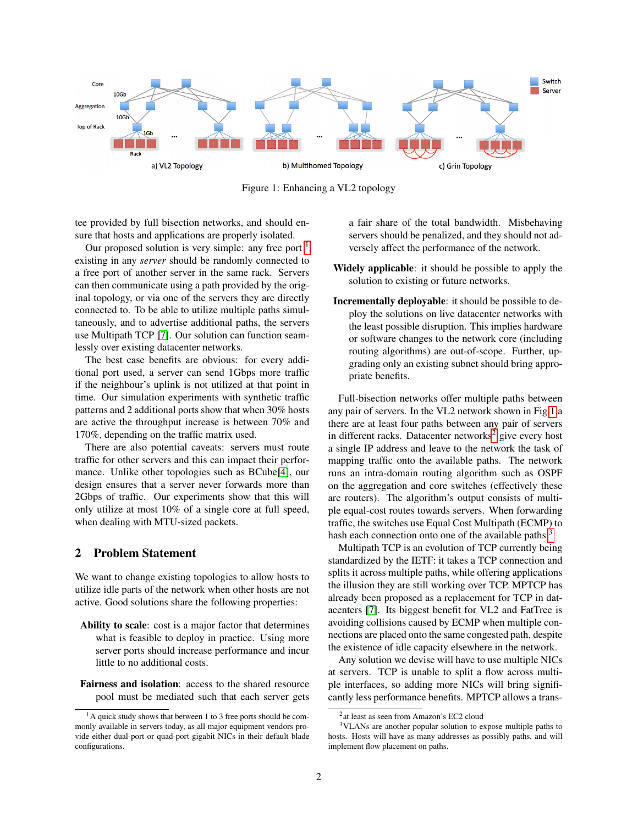<span id="page-1-1"></span>

Figure 1: Enhancing a VL2 topology

tee provided by full bisection networks, and should ensure that hosts and applications are properly isolated.

Our proposed solution is very simple: any free port  $<sup>1</sup>$  $<sup>1</sup>$  $<sup>1</sup>$ </sup> existing in any *server* should be randomly connected to a free port of another server in the same rack. Servers can then communicate using a path provided by the original topology, or via one of the servers they are directly connected to. To be able to utilize multiple paths simultaneously, and to advertise additional paths, the servers use Multipath TCP [\[7\]](#page-5-4). Our solution can function seamlessly over existing datacenter networks.

The best case benefits are obvious: for every additional port used, a server can send 1Gbps more traffic if the neighbour's uplink is not utilized at that point in time. Our simulation experiments with synthetic traffic patterns and 2 additional ports show that when 30% hosts are active the throughput increase is between 70% and 170%, depending on the traffic matrix used.

There are also potential caveats: servers must route traffic for other servers and this can impact their performance. Unlike other topologies such as BCube[\[4\]](#page-5-5), our design ensures that a server never forwards more than 2Gbps of traffic. Our experiments show that this will only utilize at most 10% of a single core at full speed, when dealing with MTU-sized packets.

#### 2 Problem Statement

We want to change existing topologies to allow hosts to utilize idle parts of the network when other hosts are not active. Good solutions share the following properties:

- Ability to scale: cost is a major factor that determines what is feasible to deploy in practice. Using more server ports should increase performance and incur little to no additional costs.
- Fairness and isolation: access to the shared resource pool must be mediated such that each server gets

a fair share of the total bandwidth. Misbehaving servers should be penalized, and they should not adversely affect the performance of the network.

- Widely applicable: it should be possible to apply the solution to existing or future networks.
- Incrementally deployable: it should be possible to deploy the solutions on live datacenter networks with the least possible disruption. This implies hardware or software changes to the network core (including routing algorithms) are out-of-scope. Further, upgrading only an existing subnet should bring appropriate benefits.

Full-bisection networks offer multiple paths between any pair of servers. In the VL2 network shown in Fig[.1.](#page-1-1)a there are at least four paths between any pair of servers in different racks. Datacenter networks<sup>[2](#page-1-2)</sup> give every host a single IP address and leave to the network the task of mapping traffic onto the available paths. The network runs an intra-domain routing algorithm such as OSPF on the aggregation and core switches (effectively these are routers). The algorithm's output consists of multiple equal-cost routes towards servers. When forwarding traffic, the switches use Equal Cost Multipath (ECMP) to hash each connection onto one of the available paths  $3$ 

Multipath TCP is an evolution of TCP currently being standardized by the IETF: it takes a TCP connection and splits it across multiple paths, while offering applications the illusion they are still working over TCP. MPTCP has already been proposed as a replacement for TCP in datacenters [\[7\]](#page-5-4). Its biggest benefit for VL2 and FatTree is avoiding collisions caused by ECMP when multiple connections are placed onto the same congested path, despite the existence of idle capacity elsewhere in the network.

Any solution we devise will have to use multiple NICs at servers. TCP is unable to split a flow across multiple interfaces, so adding more NICs will bring significantly less performance benefits. MPTCP allows a trans-

<span id="page-1-0"></span><sup>&</sup>lt;sup>1</sup>A quick study shows that between 1 to 3 free ports should be commonly available in servers today, as all major equipment vendors provide either dual-port or quad-port gigabit NICs in their default blade configurations.

<span id="page-1-3"></span><span id="page-1-2"></span><sup>2</sup> at least as seen from Amazon's EC2 cloud

<sup>3</sup>VLANs are another popular solution to expose multiple paths to hosts. Hosts will have as many addresses as possibly paths, and will implement flow placement on paths.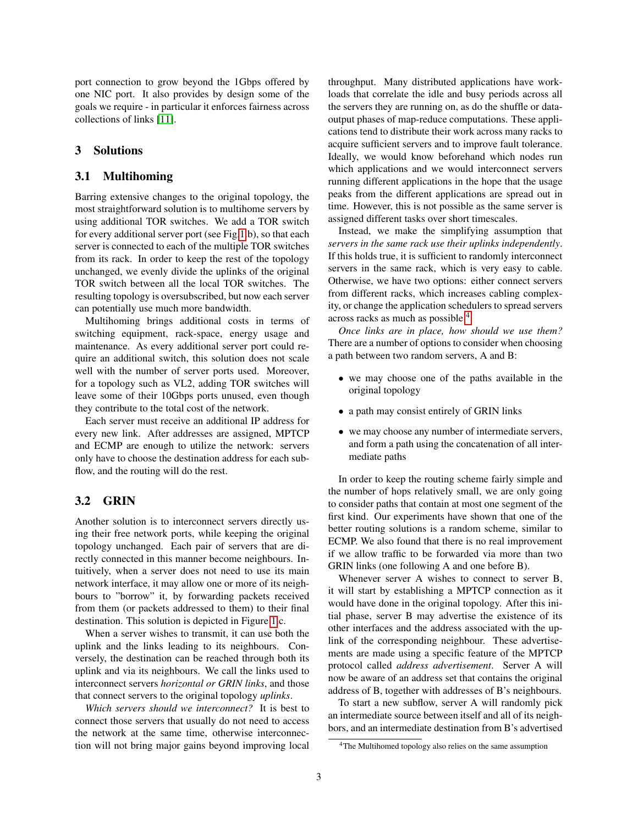port connection to grow beyond the 1Gbps offered by one NIC port. It also provides by design some of the goals we require - in particular it enforces fairness across collections of links [\[11\]](#page-5-6).

### 3 Solutions

### 3.1 Multihoming

Barring extensive changes to the original topology, the most straightforward solution is to multihome servers by using additional TOR switches. We add a TOR switch for every additional server port (see Fig[.1.](#page-1-1)b), so that each server is connected to each of the multiple TOR switches from its rack. In order to keep the rest of the topology unchanged, we evenly divide the uplinks of the original TOR switch between all the local TOR switches. The resulting topology is oversubscribed, but now each server can potentially use much more bandwidth.

Multihoming brings additional costs in terms of switching equipment, rack-space, energy usage and maintenance. As every additional server port could require an additional switch, this solution does not scale well with the number of server ports used. Moreover, for a topology such as VL2, adding TOR switches will leave some of their 10Gbps ports unused, even though they contribute to the total cost of the network.

Each server must receive an additional IP address for every new link. After addresses are assigned, MPTCP and ECMP are enough to utilize the network: servers only have to choose the destination address for each subflow, and the routing will do the rest.

### 3.2 GRIN

Another solution is to interconnect servers directly using their free network ports, while keeping the original topology unchanged. Each pair of servers that are directly connected in this manner become neighbours. Intuitively, when a server does not need to use its main network interface, it may allow one or more of its neighbours to "borrow" it, by forwarding packets received from them (or packets addressed to them) to their final destination. This solution is depicted in Figure [1.](#page-1-1)c.

When a server wishes to transmit, it can use both the uplink and the links leading to its neighbours. Conversely, the destination can be reached through both its uplink and via its neighbours. We call the links used to interconnect servers *horizontal or GRIN links*, and those that connect servers to the original topology *uplinks*.

*Which servers should we interconnect?* It is best to connect those servers that usually do not need to access the network at the same time, otherwise interconnection will not bring major gains beyond improving local throughput. Many distributed applications have workloads that correlate the idle and busy periods across all the servers they are running on, as do the shuffle or dataoutput phases of map-reduce computations. These applications tend to distribute their work across many racks to acquire sufficient servers and to improve fault tolerance. Ideally, we would know beforehand which nodes run which applications and we would interconnect servers running different applications in the hope that the usage peaks from the different applications are spread out in time. However, this is not possible as the same server is assigned different tasks over short timescales.

Instead, we make the simplifying assumption that *servers in the same rack use their uplinks independently*. If this holds true, it is sufficient to randomly interconnect servers in the same rack, which is very easy to cable. Otherwise, we have two options: either connect servers from different racks, which increases cabling complexity, or change the application schedulers to spread servers across racks as much as possible <sup>[4](#page-2-0)</sup>.

*Once links are in place, how should we use them?* There are a number of options to consider when choosing a path between two random servers, A and B:

- we may choose one of the paths available in the original topology
- a path may consist entirely of GRIN links
- we may choose any number of intermediate servers, and form a path using the concatenation of all intermediate paths

In order to keep the routing scheme fairly simple and the number of hops relatively small, we are only going to consider paths that contain at most one segment of the first kind. Our experiments have shown that one of the better routing solutions is a random scheme, similar to ECMP. We also found that there is no real improvement if we allow traffic to be forwarded via more than two GRIN links (one following A and one before B).

Whenever server A wishes to connect to server B, it will start by establishing a MPTCP connection as it would have done in the original topology. After this initial phase, server B may advertise the existence of its other interfaces and the address associated with the uplink of the corresponding neighbour. These advertisements are made using a specific feature of the MPTCP protocol called *address advertisement*. Server A will now be aware of an address set that contains the original address of B, together with addresses of B's neighbours.

To start a new subflow, server A will randomly pick an intermediate source between itself and all of its neighbors, and an intermediate destination from B's advertised

<span id="page-2-0"></span><sup>4</sup>The Multihomed topology also relies on the same assumption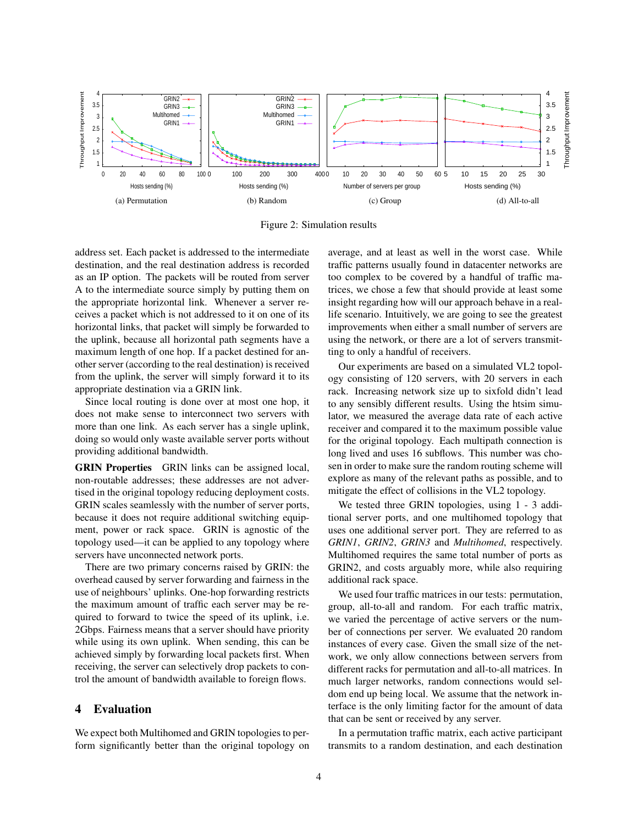<span id="page-3-0"></span>

<span id="page-3-3"></span>Figure 2: Simulation results

address set. Each packet is addressed to the intermediate destination, and the real destination address is recorded as an IP option. The packets will be routed from server A to the intermediate source simply by putting them on the appropriate horizontal link. Whenever a server receives a packet which is not addressed to it on one of its horizontal links, that packet will simply be forwarded to the uplink, because all horizontal path segments have a maximum length of one hop. If a packet destined for another server (according to the real destination) is received from the uplink, the server will simply forward it to its appropriate destination via a GRIN link.

Since local routing is done over at most one hop, it does not make sense to interconnect two servers with more than one link. As each server has a single uplink, doing so would only waste available server ports without providing additional bandwidth.

GRIN Properties GRIN links can be assigned local, non-routable addresses; these addresses are not advertised in the original topology reducing deployment costs. GRIN scales seamlessly with the number of server ports, because it does not require additional switching equipment, power or rack space. GRIN is agnostic of the topology used—it can be applied to any topology where servers have unconnected network ports.

There are two primary concerns raised by GRIN: the overhead caused by server forwarding and fairness in the use of neighbours' uplinks. One-hop forwarding restricts the maximum amount of traffic each server may be required to forward to twice the speed of its uplink, i.e. 2Gbps. Fairness means that a server should have priority while using its own uplink. When sending, this can be achieved simply by forwarding local packets first. When receiving, the server can selectively drop packets to control the amount of bandwidth available to foreign flows.

# 4 Evaluation

We expect both Multihomed and GRIN topologies to perform significantly better than the original topology on <span id="page-3-2"></span><span id="page-3-1"></span>average, and at least as well in the worst case. While traffic patterns usually found in datacenter networks are too complex to be covered by a handful of traffic matrices, we chose a few that should provide at least some insight regarding how will our approach behave in a reallife scenario. Intuitively, we are going to see the greatest improvements when either a small number of servers are using the network, or there are a lot of servers transmitting to only a handful of receivers.

Our experiments are based on a simulated VL2 topology consisting of 120 servers, with 20 servers in each rack. Increasing network size up to sixfold didn't lead to any sensibly different results. Using the htsim simulator, we measured the average data rate of each active receiver and compared it to the maximum possible value for the original topology. Each multipath connection is long lived and uses 16 subflows. This number was chosen in order to make sure the random routing scheme will explore as many of the relevant paths as possible, and to mitigate the effect of collisions in the VL2 topology.

We tested three GRIN topologies, using 1 - 3 additional server ports, and one multihomed topology that uses one additional server port. They are referred to as *GRIN1*, *GRIN2*, *GRIN3* and *Multihomed*, respectively. Multihomed requires the same total number of ports as GRIN2, and costs arguably more, while also requiring additional rack space.

We used four traffic matrices in our tests: permutation, group, all-to-all and random. For each traffic matrix, we varied the percentage of active servers or the number of connections per server. We evaluated 20 random instances of every case. Given the small size of the network, we only allow connections between servers from different racks for permutation and all-to-all matrices. In much larger networks, random connections would seldom end up being local. We assume that the network interface is the only limiting factor for the amount of data that can be sent or received by any server.

In a permutation traffic matrix, each active participant transmits to a random destination, and each destination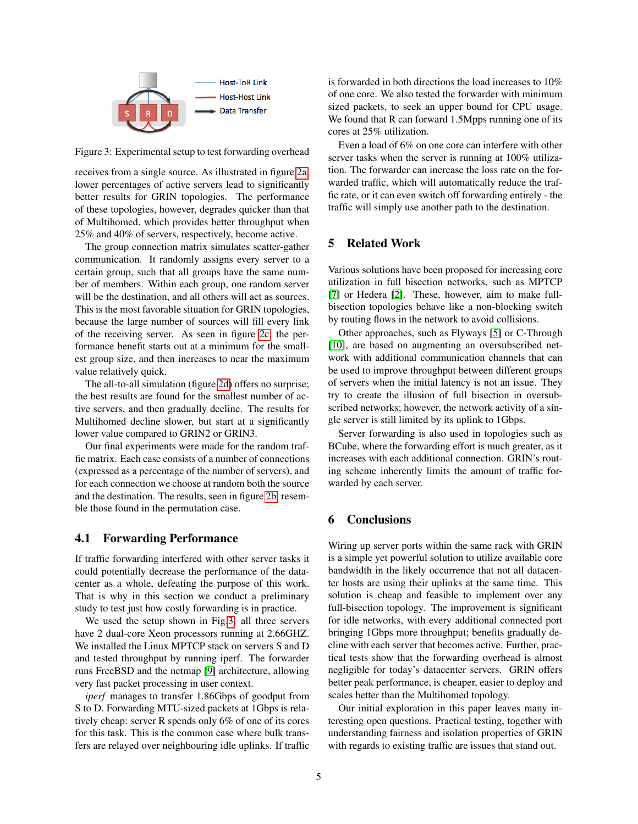<span id="page-4-0"></span>

Figure 3: Experimental setup to test forwarding overhead

receives from a single source. As illustrated in figure [2a,](#page-3-0) lower percentages of active servers lead to significantly better results for GRIN topologies. The performance of these topologies, however, degrades quicker than that of Multihomed, which provides better throughput when 25% and 40% of servers, respectively, become active.

The group connection matrix simulates scatter-gather communication. It randomly assigns every server to a certain group, such that all groups have the same number of members. Within each group, one random server will be the destination, and all others will act as sources. This is the most favorable situation for GRIN topologies, because the large number of sources will fill every link of the receiving server. As seen in figure [2c,](#page-3-1) the performance benefit starts out at a minimum for the smallest group size, and then increases to near the maximum value relatively quick.

The all-to-all simulation (figure [2d\)](#page-3-2) offers no surprise; the best results are found for the smallest number of active servers, and then gradually decline. The results for Multihomed decline slower, but start at a significantly lower value compared to GRIN2 or GRIN3.

Our final experiments were made for the random traffic matrix. Each case consists of a number of connections (expressed as a percentage of the number of servers), and for each connection we choose at random both the source and the destination. The results, seen in figure [2b,](#page-3-3) resemble those found in the permutation case.

#### 4.1 Forwarding Performance

If traffic forwarding interfered with other server tasks it could potentially decrease the performance of the datacenter as a whole, defeating the purpose of this work. That is why in this section we conduct a preliminary study to test just how costly forwarding is in practice.

We used the setup shown in Fig[.3;](#page-4-0) all three servers have 2 dual-core Xeon processors running at 2.66GHZ. We installed the Linux MPTCP stack on servers S and D and tested throughput by running iperf. The forwarder runs FreeBSD and the netmap [\[9\]](#page-5-7) architecture, allowing very fast packet processing in user context.

*iperf* manages to transfer 1.86Gbps of goodput from S to D. Forwarding MTU-sized packets at 1Gbps is relatively cheap: server R spends only 6% of one of its cores for this task. This is the common case where bulk transfers are relayed over neighbouring idle uplinks. If traffic is forwarded in both directions the load increases to 10% of one core. We also tested the forwarder with minimum sized packets, to seek an upper bound for CPU usage. We found that R can forward 1.5Mpps running one of its cores at 25% utilization.

Even a load of 6% on one core can interfere with other server tasks when the server is running at 100% utilization. The forwarder can increase the loss rate on the forwarded traffic, which will automatically reduce the traffic rate, or it can even switch off forwarding entirely - the traffic will simply use another path to the destination.

# 5 Related Work

Various solutions have been proposed for increasing core utilization in full bisection networks, such as MPTCP [\[7\]](#page-5-4) or Hedera [\[2\]](#page-5-8). These, however, aim to make fullbisection topologies behave like a non-blocking switch by routing flows in the network to avoid collisions.

Other approaches, such as Flyways [\[5\]](#page-5-9) or C-Through [\[10\]](#page-5-10), are based on augmenting an oversubscribed network with additional communication channels that can be used to improve throughput between different groups of servers when the initial latency is not an issue. They try to create the illusion of full bisection in oversubscribed networks; however, the network activity of a single server is still limited by its uplink to 1Gbps.

Server forwarding is also used in topologies such as BCube, where the forwarding effort is much greater, as it increases with each additional connection. GRIN's routing scheme inherently limits the amount of traffic forwarded by each server.

### 6 Conclusions

Wiring up server ports within the same rack with GRIN is a simple yet powerful solution to utilize available core bandwidth in the likely occurrence that not all datacenter hosts are using their uplinks at the same time. This solution is cheap and feasible to implement over any full-bisection topology. The improvement is significant for idle networks, with every additional connected port bringing 1Gbps more throughput; benefits gradually decline with each server that becomes active. Further, practical tests show that the forwarding overhead is almost negligible for today's datacenter servers. GRIN offers better peak performance, is cheaper, easier to deploy and scales better than the Multihomed topology.

Our initial exploration in this paper leaves many interesting open questions. Practical testing, together with understanding fairness and isolation properties of GRIN with regards to existing traffic are issues that stand out.